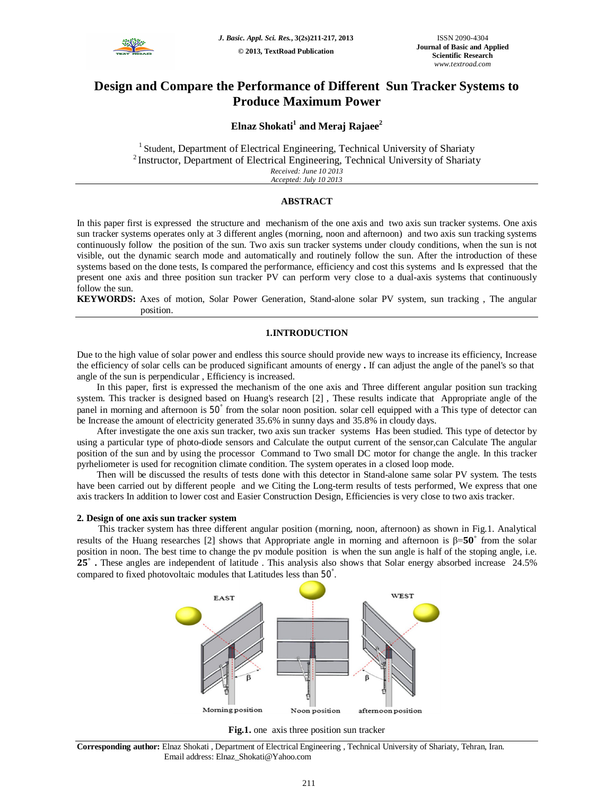

# **Design and Compare the Performance of Different Sun Tracker Systems to Produce Maximum Power**

# **Elnaz Shokati<sup>1</sup> and Meraj Rajaee<sup>2</sup>**

 $1$  Student, Department of Electrical Engineering, Technical University of Shariaty <sup>2</sup> Instructor, Department of Electrical Engineering, Technical University of Shariaty *Received: June 10 2013 Accepted: July 10 2013*

# **ABSTRACT**

In this paper first is expressed the structure and mechanism of the one axis and two axis sun tracker systems. One axis sun tracker systems operates only at 3 different angles (morning, noon and afternoon) and two axis sun tracking systems continuously follow the position of the sun. Two axis sun tracker systems under cloudy conditions, when the sun is not visible, out the dynamic search mode and automatically and routinely follow the sun. After the introduction of these systems based on the done tests, Is compared the performance, efficiency and cost this systems and Is expressed that the present one axis and three position sun tracker PV can perform very close to a dual-axis systems that continuously follow the sun.

**KEYWORDS:** Axes of motion, Solar Power Generation, Stand-alone solar PV system, sun tracking , The angular position.

# **1.INTRODUCTION**

Due to the high value of solar power and endless this source should provide new ways to increase its efficiency, Increase the efficiency of solar cells can be produced significant amounts of energy **.** If can adjust the angle of the panel's so that angle of the sun is perpendicular , Efficiency is increased.

In this paper, first is expressed the mechanism of the one axis and Three different angular position sun tracking system. This tracker is designed based on Huang's research [2] , These results indicate that Appropriate angle of the panel in morning and afternoon is 50° from the solar noon position. solar cell equipped with a This type of detector can be Increase the amount of electricity generated 35.6% in sunny days and 35.8% in cloudy days.

After investigate the one axis sun tracker, two axis sun tracker systems Has been studied. This type of detector by using a particular type of photo-diode sensors and Calculate the output current of the sensor,can Calculate The angular position of the sun and by using the processor Command to Two small DC motor for change the angle. In this tracker pyrheliometer is used for recognition climate condition. The system operates in a closed loop mode.

Then will be discussed the results of tests done with this detector in Stand-alone same solar PV system. The tests have been carried out by different people and we Citing the Long-term results of tests performed, We express that one axis trackers In addition to lower cost and Easier Construction Design, Efficiencies is very close to two axis tracker.

### **2. Design of one axis sun tracker system**

This tracker system has three different angular position (morning, noon, afternoon) as shown in Fig.1. Analytical results of the Huang researches [2] shows that Appropriate angle in morning and afternoon is β=50<sup>°</sup> from the solar position in noon. The best time to change the pv module position is when the sun angle is half of the stoping angle, i.e. 25<sup>°</sup> • These angles are independent of latitude . This analysis also shows that Solar energy absorbed increase 24.5% compared to fixed photovoltaic modules that Latitudes less than 50° .





**Corresponding author:** Elnaz Shokati , Department of Electrical Engineering , Technical University of Shariaty, Tehran, Iran. Email address: Elnaz\_Shokati@Yahoo.com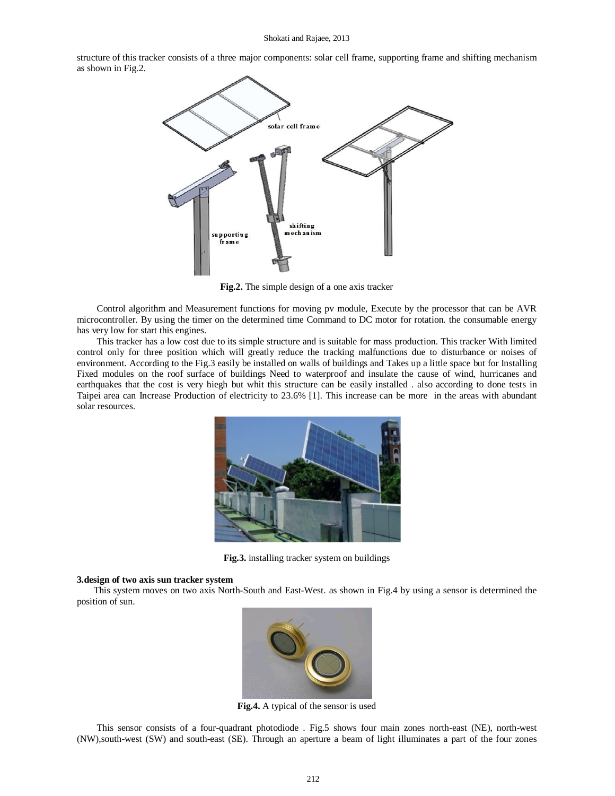#### Shokati and Rajaee, 2013

structure of this tracker consists of a three major components: solar cell frame, supporting frame and shifting mechanism as shown in Fig.2.



**Fig.2.** The simple design of a one axis tracker

Control algorithm and Measurement functions for moving pv module, Execute by the processor that can be AVR microcontroller. By using the timer on the determined time Command to DC motor for rotation. the consumable energy has very low for start this engines.

This tracker has a low cost due to its simple structure and is suitable for mass production. This tracker With limited control only for three position which will greatly reduce the tracking malfunctions due to disturbance or noises of environment. According to the Fig.3 easily be installed on walls of buildings and Takes up a little space but for Installing Fixed modules on the roof surface of buildings Need to waterproof and insulate the cause of wind, hurricanes and earthquakes that the cost is very hiegh but whit this structure can be easily installed . also according to done tests in Taipei area can Increase Production of electricity to 23.6% [1]. This increase can be more in the areas with abundant solar resources.



**Fig.3.** installing tracker system on buildings

### **3.design of two axis sun tracker system**

This system moves on two axis North-South and East-West. as shown in Fig.4 by using a sensor is determined the position of sun.



**Fig.4.** A typical of the sensor is used

This sensor consists of a four-quadrant photodiode . Fig.5 shows four main zones north-east (NE), north-west (NW),south-west (SW) and south-east (SE). Through an aperture a beam of light illuminates a part of the four zones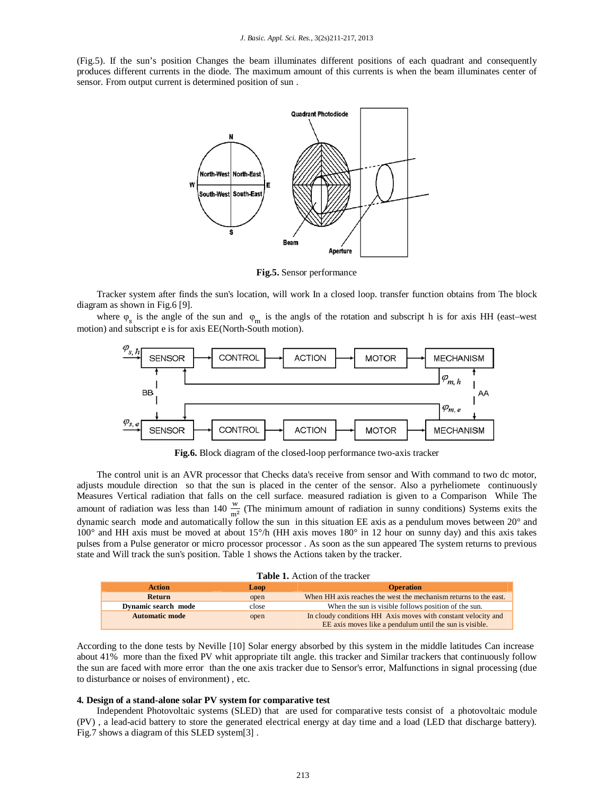(Fig.5). If the sun's position Changes the beam illuminates different positions of each quadrant and consequently produces different currents in the diode. The maximum amount of this currents is when the beam illuminates center of sensor. From output current is determined position of sun .



**Fig.5.** Sensor performance

Tracker system after finds the sun's location, will work In a closed loop. transfer function obtains from The block diagram as shown in Fig.6 [9].

where  $\varphi_s$  is the angle of the sun and  $\varphi_m$  is the angls of the rotation and subscript h is for axis HH (east–west motion) and subscript e is for axis EE(North-South motion).



**Fig.6.** Block diagram of the closed-loop performance two-axis tracker

The control unit is an AVR processor that Checks data's receive from sensor and With command to two dc motor, adjusts moudule direction so that the sun is placed in the center of the sensor. Also a pyrheliomete continuously Measures Vertical radiation that falls on the cell surface. measured radiation is given to a Comparison While The amount of radiation was less than 140  $\frac{w}{m^2}$  (The minimum amount of radiation in sunny conditions) Systems exits the dynamic search mode and automatically follow the sun in this situation EE axis as a pendulum moves between 20° and 100° and HH axis must be moved at about 15°/h (HH axis moves 180° in 12 hour on sunny day) and this axis takes pulses from a Pulse generator or micro processor processor . As soon as the sun appeared The system returns to previous state and Will track the sun's position. Table 1 shows the Actions taken by the tracker.

| <b>Action</b>         | Loop  | <b>Operation</b>                                                 |
|-----------------------|-------|------------------------------------------------------------------|
| <b>Return</b>         | open  | When HH axis reaches the west the mechanism returns to the east. |
| Dynamic search mode   | close | When the sun is visible follows position of the sun.             |
| <b>Automatic mode</b> | open  | In cloudy conditions HH Axis moves with constant velocity and    |
|                       |       | EE axis moves like a pendulum until the sun is visible.          |

According to the done tests by Neville [10] Solar energy absorbed by this system in the middle latitudes Can increase about 41% more than the fixed PV whit appropriate tilt angle. this tracker and Similar trackers that continuously follow the sun are faced with more error than the one axis tracker due to Sensor's error, Malfunctions in signal processing (due to disturbance or noises of environment) , etc.

#### **4. Design of a stand-alone solar PV system for comparative test**

Independent Photovoltaic systems (SLED) that are used for comparative tests consist of a photovoltaic module (PV) , a lead-acid battery to store the generated electrical energy at day time and a load (LED that discharge battery). Fig.7 shows a diagram of this SLED system[3] .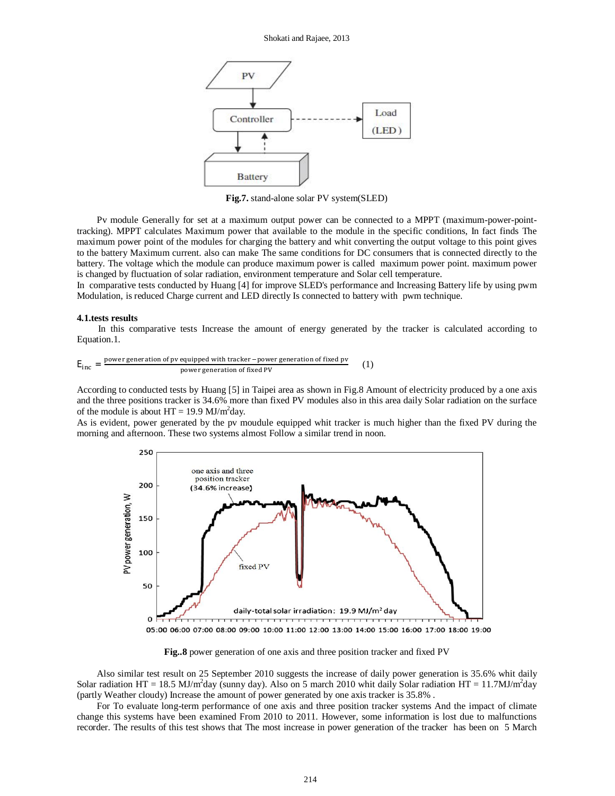

**Fig.7.** stand-alone solar PV system(SLED)

Pv module Generally for set at a maximum output power can be connected to a MPPT (maximum-power-pointtracking). MPPT calculates Maximum power that available to the module in the specific conditions, In fact finds The maximum power point of the modules for charging the battery and whit converting the output voltage to this point gives to the battery Maximum current. also can make The same conditions for DC consumers that is connected directly to the battery. The voltage which the module can produce maximum power is called maximum power point. maximum power is changed by fluctuation of solar radiation, environment temperature and Solar cell temperature.

In comparative tests conducted by Huang [4] for improve SLED's performance and Increasing Battery life by using pwm Modulation, is reduced Charge current and LED directly Is connected to battery with pwm technique.

#### **4.1.tests results**

In this comparative tests Increase the amount of energy generated by the tracker is calculated according to Equation.1.

$$
E_{inc} = \frac{power \, generation \, of \,pv \, equipped \, with \, tracker \, -power \, generation \, of \, fixed \, pv}{power \, generation \, of \, fixed \, PV} \tag{1}
$$

According to conducted tests by Huang [5] in Taipei area as shown in Fig.8 Amount of electricity produced by a one axis and the three positions tracker is 34.6% more than fixed PV modules also in this area daily Solar radiation on the surface of the module is about  $HT = 19.9$  MJ/m<sup>2</sup>day.

As is evident, power generated by the pv moudule equipped whit tracker is much higher than the fixed PV during the morning and afternoon. These two systems almost Follow a similar trend in noon.



05:00 06:00 07:00 08:00 09:00 10:00 11:00 12:00 13:00 14:00 15:00 16:00 17:00 18:00 19:00

**Fig..8** power generation of one axis and three position tracker and fixed PV

Also similar test result on 25 September 2010 suggests the increase of daily power generation is 35.6% whit daily Solar radiation HT = 18.5 MJ/m<sup>2</sup>day (sunny day). Also on 5 march 2010 whit daily Solar radiation HT = 11.7MJ/m<sup>2</sup>day (partly Weather cloudy) Increase the amount of power generated by one axis tracker is 35.8% .

For To evaluate long-term performance of one axis and three position tracker systems And the impact of climate change this systems have been examined From 2010 to 2011. However, some information is lost due to malfunctions recorder. The results of this test shows that The most increase in power generation of the tracker has been on 5 March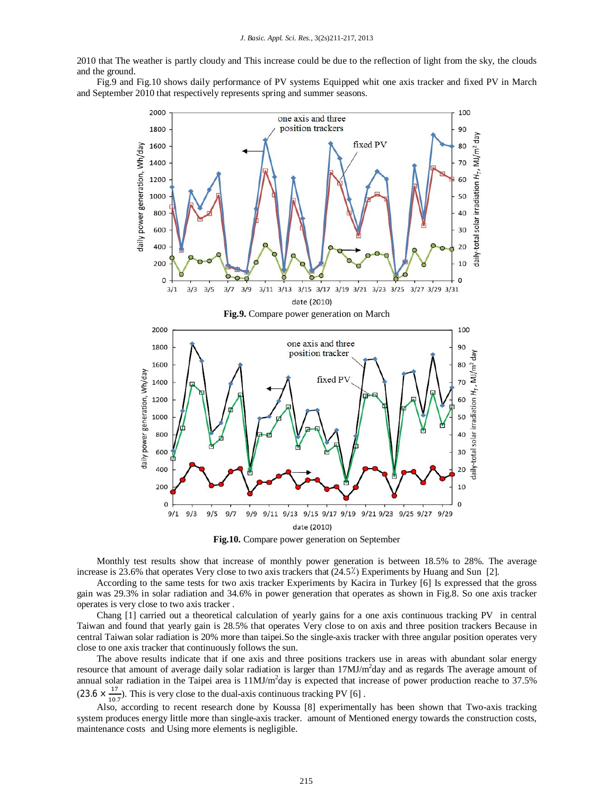2010 that The weather is partly cloudy and This increase could be due to the reflection of light from the sky, the clouds and the ground.

Fig.9 and Fig.10 shows daily performance of PV systems Equipped whit one axis tracker and fixed PV in March and September 2010 that respectively represents spring and summer seasons.



**Fig.10.** Compare power generation on September

Monthly test results show that increase of monthly power generation is between 18.5% to 28%. The average increase is 23.6% that operates Very close to two axis trackers that (24.5٪) Experiments by Huang and Sun [2].

According to the same tests for two axis tracker Experiments by Kacira in Turkey [6] Is expressed that the gross gain was 29.3% in solar radiation and 34.6% in power generation that operates as shown in Fig.8. So one axis tracker operates is very close to two axis tracker .

Chang [1] carried out a theoretical calculation of yearly gains for a one axis continuous tracking PV in central Taiwan and found that yearly gain is 28.5% that operates Very close to on axis and three position trackers Because in central Taiwan solar radiation is 20% more than taipei.So the single-axis tracker with three angular position operates very close to one axis tracker that continuously follows the sun.

The above results indicate that if one axis and three positions trackers use in areas with abundant solar energy resource that amount of average daily solar radiation is larger than 17MJ/m<sup>2</sup>day and as regards The average amount of annual solar radiation in the Taipei area is  $11 MJ/m^2$ day is expected that increase of power production reache to 37.5%  $(23.6 \times \frac{17}{10})$  $\frac{17}{10.7}$ ). This is very close to the dual-axis continuous tracking PV [6].

Also, according to recent research done by Koussa [8] experimentally has been shown that Two-axis tracking system produces energy little more than single-axis tracker. amount of Mentioned energy towards the construction costs, maintenance costs and Using more elements is negligible.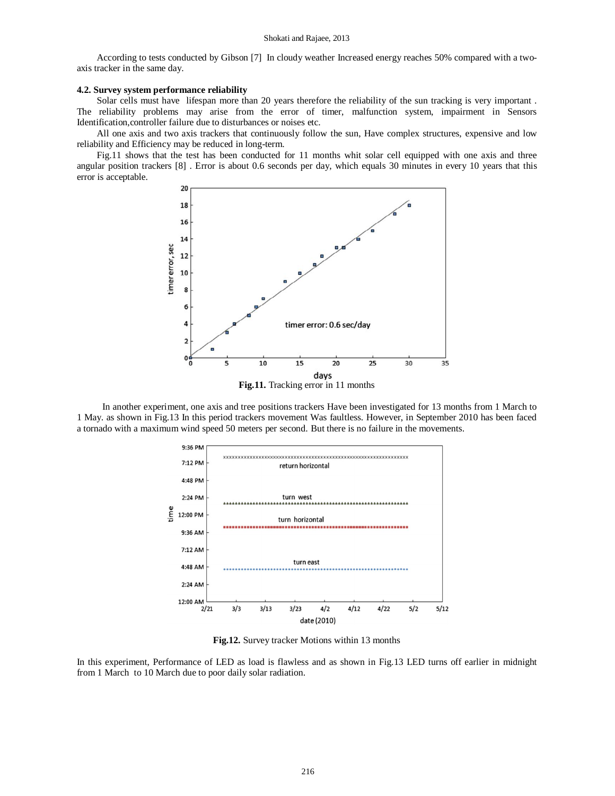#### Shokati and Rajaee, 2013

According to tests conducted by Gibson [7] In cloudy weather Increased energy reaches 50% compared with a twoaxis tracker in the same day.

# **4.2. Survey system performance reliability**

Solar cells must have lifespan more than 20 years therefore the reliability of the sun tracking is very important . The reliability problems may arise from the error of timer, malfunction system, impairment in Sensors Identification,controller failure due to disturbances or noises etc.

All one axis and two axis trackers that continuously follow the sun, Have complex structures, expensive and low reliability and Efficiency may be reduced in long-term.

Fig.11 shows that the test has been conducted for 11 months whit solar cell equipped with one axis and three angular position trackers [8] . Error is about 0.6 seconds per day, which equals 30 minutes in every 10 years that this error is acceptable.



**Fig.11.** Tracking error in 11 months

In another experiment, one axis and tree positions trackers Have been investigated for 13 months from 1 March to 1 May. as shown in Fig.13 In this period trackers movement Was faultless. However, in September 2010 has been faced a tornado with a maximum wind speed 50 meters per second. But there is no failure in the movements.



**Fig.12.** Survey tracker Motions within 13 months

In this experiment, Performance of LED as load is flawless and as shown in Fig.13 LED turns off earlier in midnight from 1 March to 10 March due to poor daily solar radiation.